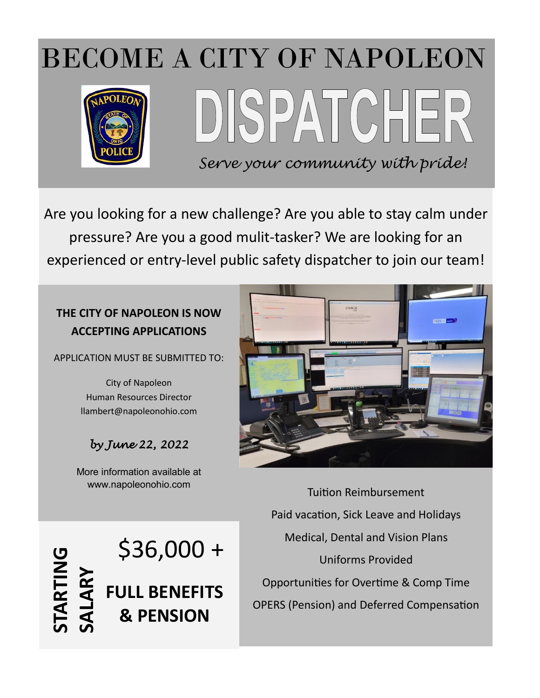

Are you looking for a new challenge? Are you able to stay calm under pressure? Are you a good mulit-tasker? We are looking for an experienced or entry-level public safety dispatcher to join our team!

## **THE CITY OF NAPOLEON IS NOW ACCEPTING APPLICATIONS**

APPLICATION MUST BE SUBMITTED TO:

City of Napoleon Human Resources Director llambert@napoleonohio.com

# *by June 22, 2022*

More information available at www.napoleonohio.com

\$36,000 +

**FULL BENEFITS**

**& PENSION**



Tuition Reimbursement Paid vacation, Sick Leave and Holidays Medical, Dental and Vision Plans Uniforms Provided Opportunities for Overtime & Comp Time OPERS (Pension) and Deferred Compensation

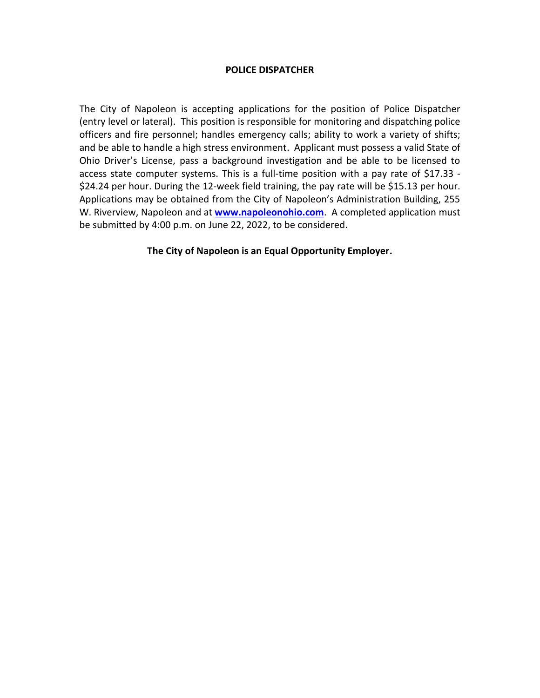#### **POLICE DISPATCHER**

The City of Napoleon is accepting applications for the position of Police Dispatcher (entry level or lateral). This position is responsible for monitoring and dispatching police officers and fire personnel; handles emergency calls; ability to work a variety of shifts; and be able to handle a high stress environment. Applicant must possess a valid State of Ohio Driver's License, pass a background investigation and be able to be licensed to access state computer systems. This is a full-time position with a pay rate of \$17.33 - \$24.24 per hour. During the 12-week field training, the pay rate will be \$15.13 per hour. Applications may be obtained from the City of Napoleon's Administration Building, 255 W. Riverview, Napoleon and at **[www.napoleonohio.com](http://www.napoleonohio.com/)**. A completed application must be submitted by 4:00 p.m. on June 22, 2022, to be considered.

#### **The City of Napoleon is an Equal Opportunity Employer.**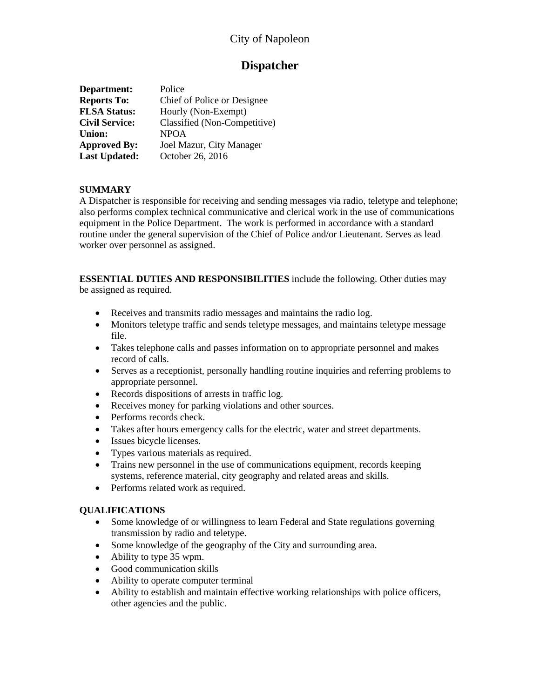## City of Napoleon

### **Dispatcher**

| Department:           | Police                       |
|-----------------------|------------------------------|
| <b>Reports To:</b>    | Chief of Police or Designee  |
| <b>FLSA Status:</b>   | Hourly (Non-Exempt)          |
| <b>Civil Service:</b> | Classified (Non-Competitive) |
| <b>Union:</b>         | <b>NPOA</b>                  |
| <b>Approved By:</b>   | Joel Mazur, City Manager     |
| <b>Last Updated:</b>  | October 26, 2016             |

#### **SUMMARY**

A Dispatcher is responsible for receiving and sending messages via radio, teletype and telephone; also performs complex technical communicative and clerical work in the use of communications equipment in the Police Department. The work is performed in accordance with a standard routine under the general supervision of the Chief of Police and/or Lieutenant. Serves as lead worker over personnel as assigned.

**ESSENTIAL DUTIES AND RESPONSIBILITIES** include the following. Other duties may be assigned as required.

- Receives and transmits radio messages and maintains the radio log.
- Monitors teletype traffic and sends teletype messages, and maintains teletype message file.
- Takes telephone calls and passes information on to appropriate personnel and makes record of calls.
- Serves as a receptionist, personally handling routine inquiries and referring problems to appropriate personnel.
- Records dispositions of arrests in traffic log.
- Receives money for parking violations and other sources.
- Performs records check.
- Takes after hours emergency calls for the electric, water and street departments.
- Issues bicycle licenses.
- Types various materials as required.
- Trains new personnel in the use of communications equipment, records keeping systems, reference material, city geography and related areas and skills.
- Performs related work as required.

#### **QUALIFICATIONS**

- Some knowledge of or willingness to learn Federal and State regulations governing transmission by radio and teletype.
- Some knowledge of the geography of the City and surrounding area.
- Ability to type 35 wpm.
- Good communication skills
- Ability to operate computer terminal
- Ability to establish and maintain effective working relationships with police officers, other agencies and the public.